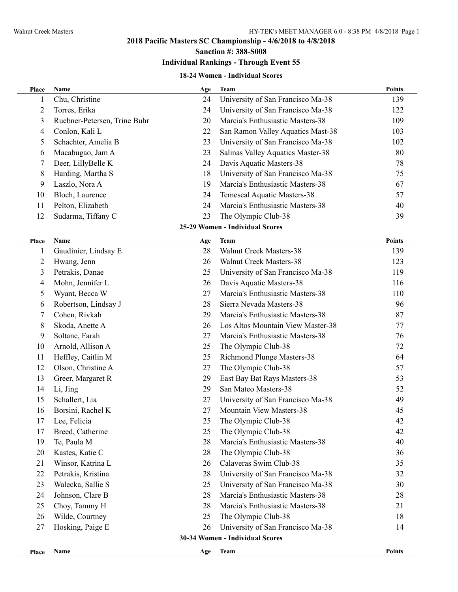**Sanction #: 388-S008**

# **Individual Rankings - Through Event 55**

#### **18-24 Women - Individual Scores**

| Place          | Name                         | Age | <b>Team</b>                       | <b>Points</b> |
|----------------|------------------------------|-----|-----------------------------------|---------------|
| 1              | Chu, Christine               | 24  | University of San Francisco Ma-38 | 139           |
| $\overline{2}$ | Torres, Erika                | 24  | University of San Francisco Ma-38 | 122           |
| 3              | Ruebner-Petersen, Trine Buhr | 20  | Marcia's Enthusiastic Masters-38  | 109           |
| 4              | Conlon, Kali L               | 22  | San Ramon Valley Aquatics Mast-38 | 103           |
| 5              | Schachter, Amelia B          | 23  | University of San Francisco Ma-38 | 102           |
| 6              | Macabugao, Jam A             | 23  | Salinas Valley Aquatics Master-38 | 80            |
| 7              | Deer, LillyBelle K           | 24  | Davis Aquatic Masters-38          | 78            |
| 8              | Harding, Martha S            | 18  | University of San Francisco Ma-38 | 75            |
| 9              | Laszlo, Nora A               | 19  | Marcia's Enthusiastic Masters-38  | 67            |
| 10             | Bloch, Laurence              | 24  | Temescal Aquatic Masters-38       | 57            |
| 11             | Pelton, Elizabeth            | 24  | Marcia's Enthusiastic Masters-38  | 40            |
| 12             | Sudarma, Tiffany C           | 23  | The Olympic Club-38               | 39            |
|                |                              |     | 25-29 Women - Individual Scores   |               |
| <b>Place</b>   | Name                         | Age | Team                              | <b>Points</b> |
| 1              | Gaudinier, Lindsay E         | 28  | <b>Walnut Creek Masters-38</b>    | 139           |
| $\overline{2}$ | Hwang, Jenn                  | 26  | <b>Walnut Creek Masters-38</b>    | 123           |
| $\mathfrak{Z}$ | Petrakis, Danae              | 25  | University of San Francisco Ma-38 | 119           |
| 4              | Mohn, Jennifer L             | 26  | Davis Aquatic Masters-38          | 116           |
| 5              | Wyant, Becca W               | 27  | Marcia's Enthusiastic Masters-38  | 110           |
| 6              | Robertson, Lindsay J         | 28  | Sierra Nevada Masters-38          | 96            |
| 7              | Cohen, Rivkah                | 29  | Marcia's Enthusiastic Masters-38  | 87            |
| 8              | Skoda, Anette A              | 26  | Los Altos Mountain View Master-38 | 77            |
| 9              | Soltane, Farah               | 27  | Marcia's Enthusiastic Masters-38  | 76            |
| 10             | Arnold, Allison A            | 25  | The Olympic Club-38               | 72            |
| 11             | Heffley, Caitlin M           | 25  | Richmond Plunge Masters-38        | 64            |
| 12             | Olson, Christine A           | 27  | The Olympic Club-38               | 57            |
| 13             | Greer, Margaret R            | 29  | East Bay Bat Rays Masters-38      | 53            |
| 14             | Li, Jing                     | 29  | San Mateo Masters-38              | 52            |
| 15             | Schallert, Lia               | 27  | University of San Francisco Ma-38 | 49            |
| 16             | Borsini, Rachel K            | 27  | Mountain View Masters-38          | 45            |
| 17             | Lee, Felicia                 | 25  | The Olympic Club-38               | 42            |
| 17             | Breed, Catherine             | 25  | The Olympic Club-38               | 42            |
| 19             | Te, Paula M                  | 28  | Marcia's Enthusiastic Masters-38  | 40            |
| 20             | Kastes, Katie C              | 28  | The Olympic Club-38               | 36            |
| 21             | Winsor, Katrina L            | 26  | Calaveras Swim Club-38            | 35            |
| 22             | Petrakis, Kristina           | 28  | University of San Francisco Ma-38 | 32            |
| 23             | Walecka, Sallie S            | 25  | University of San Francisco Ma-38 | 30            |
| 24             | Johnson, Clare B             | 28  | Marcia's Enthusiastic Masters-38  | 28            |
| 25             | Choy, Tammy H                | 28  | Marcia's Enthusiastic Masters-38  | 21            |
| 26             | Wilde, Courtney              | 25  | The Olympic Club-38               | 18            |
| 27             | Hosking, Paige E             | 26  | University of San Francisco Ma-38 | 14            |
|                |                              |     | 30-34 Women - Individual Scores   |               |
| Place          | Name                         | Age | <b>Team</b>                       | Points        |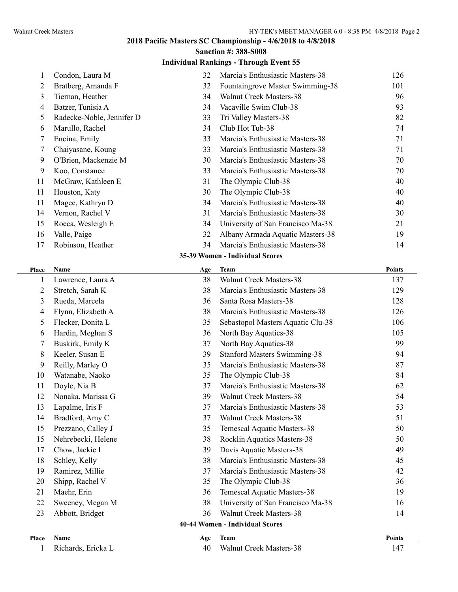|  | <b>Sanction #: 388-S008</b> |
|--|-----------------------------|
|  |                             |

### **Individual Rankings - Through Event 55**

| 1     | Condon, Laura M           | 32  | Marcia's Enthusiastic Masters-38    | 126           |
|-------|---------------------------|-----|-------------------------------------|---------------|
| 2     | Bratberg, Amanda F        | 32  | Fountaingrove Master Swimming-38    | 101           |
| 3     | Tiernan, Heather          | 34  | Walnut Creek Masters-38             | 96            |
| 4     | Batzer, Tunisia A         | 34  | Vacaville Swim Club-38              | 93            |
| 5     | Radecke-Noble, Jennifer D | 33  | Tri Valley Masters-38               | 82            |
| 6     | Marullo, Rachel           | 34  | Club Hot Tub-38                     | 74            |
| 7     | Encina, Emily             | 33  | Marcia's Enthusiastic Masters-38    | 71            |
| 7     | Chaiyasane, Koung         | 33  | Marcia's Enthusiastic Masters-38    | 71            |
| 9     | O'Brien, Mackenzie M      | 30  | Marcia's Enthusiastic Masters-38    | 70            |
| 9     | Koo, Constance            | 33  | Marcia's Enthusiastic Masters-38    | 70            |
| 11    | McGraw, Kathleen E        | 31  | The Olympic Club-38                 | 40            |
| 11    | Houston, Katy             | 30  | The Olympic Club-38                 | 40            |
| 11    | Magee, Kathryn D          | 34  | Marcia's Enthusiastic Masters-38    | 40            |
| 14    | Vernon, Rachel V          | 31  | Marcia's Enthusiastic Masters-38    | 30            |
| 15    | Roeca, Wesleigh E         | 34  | University of San Francisco Ma-38   | 21            |
| 16    | Valle, Paige              | 32  | Albany Armada Aquatic Masters-38    | 19            |
| 17    | Robinson, Heather         | 34  | Marcia's Enthusiastic Masters-38    | 14            |
|       |                           |     | 35-39 Women - Individual Scores     |               |
| Place | Name                      | Age | <b>Team</b>                         | <b>Points</b> |
| 1     | Lawrence, Laura A         | 38  | <b>Walnut Creek Masters-38</b>      | 137           |
| 2     | Stretch, Sarah K          | 38  | Marcia's Enthusiastic Masters-38    | 129           |
| 3     | Rueda, Marcela            | 36  | Santa Rosa Masters-38               | 128           |
| 4     | Flynn, Elizabeth A        | 38  | Marcia's Enthusiastic Masters-38    | 126           |
| 5     | Flecker, Donita L         | 35  | Sebastopol Masters Aquatic Clu-38   | 106           |
| 6     | Hardin, Meghan S          | 36  | North Bay Aquatics-38               | 105           |
| 7     | Buskirk, Emily K          | 37  | North Bay Aquatics-38               | 99            |
| 8     | Keeler, Susan E           | 39  | <b>Stanford Masters Swimming-38</b> | 94            |
| 9     | Reilly, Marley O          | 35  | Marcia's Enthusiastic Masters-38    | 87            |
| 10    | Watanabe, Naoko           | 35  | The Olympic Club-38                 | 84            |
| 11    | Doyle, Nia B              | 37  | Marcia's Enthusiastic Masters-38    | 62            |
| 12    | Nonaka, Marissa G         | 39  | Walnut Creek Masters-38             | 54            |
| 13    | Lapalme, Iris F           | 37  | Marcia's Enthusiastic Masters-38    | 53            |
| 14    | Bradford, Amy C           | 37  | <b>Walnut Creek Masters-38</b>      | 51            |
| 15    | Prezzano, Calley J        | 35  | Temescal Aquatic Masters-38         | 50            |
| 15    | Nehrebecki, Helene        | 38  | Rocklin Aquatics Masters-38         | 50            |
| 17    | Chow, Jackie I            | 39  | Davis Aquatic Masters-38            | 49            |
| 18    | Schley, Kelly             | 38  | Marcia's Enthusiastic Masters-38    | 45            |
| 19    | Ramirez, Millie           | 37  | Marcia's Enthusiastic Masters-38    | 42            |
| 20    | Shipp, Rachel V           | 35  | The Olympic Club-38                 | 36            |
| 21    | Maehr, Erin               | 36  | Temescal Aquatic Masters-38         | 19            |
| 22    | Sweeney, Megan M          | 38  | University of San Francisco Ma-38   | 16            |
| 23    | Abbott, Bridget           | 36  | Walnut Creek Masters-38             | 14            |
|       |                           |     | 40-44 Women - Individual Scores     |               |
| Place | Name                      | Age | <b>Team</b>                         | <b>Points</b> |
|       |                           |     |                                     |               |

1 Richards, Ericka L 40 Walnut Creek Masters-38 147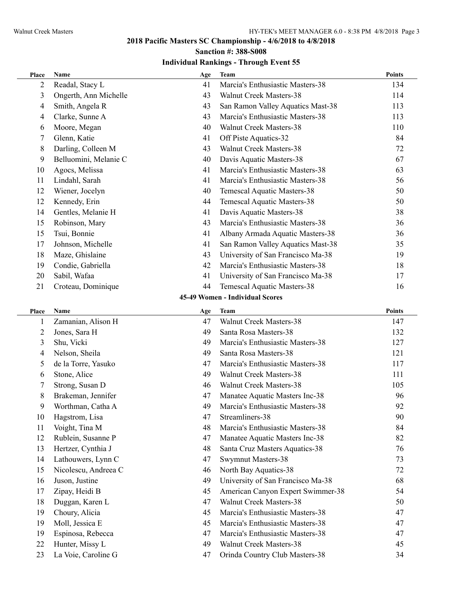# **2018 Pacific Masters SC Championship - 4/6/2018 to 4/8/2018 Sanction #: 388-S008**

| Place | Name                  | Age | <b>Team</b>                       | <b>Points</b> |
|-------|-----------------------|-----|-----------------------------------|---------------|
| 2     | Readal, Stacy L       | 41  | Marcia's Enthusiastic Masters-38  | 134           |
| 3     | Ongerth, Ann Michelle | 43  | <b>Walnut Creek Masters-38</b>    | 114           |
| 4     | Smith, Angela R       | 43  | San Ramon Valley Aquatics Mast-38 | 113           |
| 4     | Clarke, Sunne A       | 43  | Marcia's Enthusiastic Masters-38  | 113           |
| 6     | Moore, Megan          | 40  | <b>Walnut Creek Masters-38</b>    | 110           |
| 7     | Glenn, Katie          | 41  | Off Piste Aquatics-32             | 84            |
| 8     | Darling, Colleen M    | 43  | <b>Walnut Creek Masters-38</b>    | 72            |
| 9     | Belluomini, Melanie C | 40  | Davis Aquatic Masters-38          | 67            |
| 10    | Agocs, Melissa        | 41  | Marcia's Enthusiastic Masters-38  | 63            |
| 11    | Lindahl, Sarah        | 41  | Marcia's Enthusiastic Masters-38  | 56            |
| 12    | Wiener, Jocelyn       | 40  | Temescal Aquatic Masters-38       | 50            |
| 12    | Kennedy, Erin         | 44  | Temescal Aquatic Masters-38       | 50            |
| 14    | Gentles, Melanie H    | 41  | Davis Aquatic Masters-38          | 38            |
| 15    | Robinson, Mary        | 43  | Marcia's Enthusiastic Masters-38  | 36            |
| 15    | Tsui, Bonnie          | 41  | Albany Armada Aquatic Masters-38  | 36            |
| 17    | Johnson, Michelle     | 41  | San Ramon Valley Aquatics Mast-38 | 35            |
| 18    | Maze, Ghislaine       | 43  | University of San Francisco Ma-38 | 19            |
| 19    | Condie, Gabriella     | 42  | Marcia's Enthusiastic Masters-38  | 18            |
| 20    | Sabil, Wafaa          | 41  | University of San Francisco Ma-38 | 17            |
| 21    | Croteau, Dominique    | 44  | Temescal Aquatic Masters-38       | 16            |
|       |                       |     | 45-49 Women - Individual Scores   |               |
| Place | Name                  | Age | <b>Team</b>                       | <b>Points</b> |
| 1     | Zamanian, Alison H    | 47  | <b>Walnut Creek Masters-38</b>    | 147           |
| 2     | Jones, Sara H         | 49  | Santa Rosa Masters-38             | 132           |
| 3     | Shu, Vicki            | 49  | Marcia's Enthusiastic Masters-38  | 127           |
| 4     | Nelson, Sheila        | 49  | Santa Rosa Masters-38             | 121           |
| 5     | de la Torre, Yasuko   | 47  | Marcia's Enthusiastic Masters-38  | 117           |
| 6     | Stone, Alice          | 49  | Walnut Creek Masters-38           | 111           |
| 7     | Strong, Susan D       | 46  | <b>Walnut Creek Masters-38</b>    | 105           |
| 8     | Brakeman, Jennifer    | 47  | Manatee Aquatic Masters Inc-38    | 96            |
| 9     | Worthman, Catha A     | 49  | Marcia's Enthusiastic Masters-38  | 92            |
| 10    | Hagstrom, Lisa        | 47  | Streamliners-38                   | 90            |
| 11    | Voight, Tina M        | 48  | Marcia's Enthusiastic Masters-38  | 84            |
| 12    | Rublein, Susanne P    | 47  | Manatee Aquatic Masters Inc-38    | 82            |
| 13    | Hertzer, Cynthia J    | 48  | Santa Cruz Masters Aquatics-38    | 76            |
| 14    | Lathouwers, Lynn C    | 47  | <b>Swymnut Masters-38</b>         | 73            |
| 15    | Nicolescu, Andreea C  | 46  | North Bay Aquatics-38             | 72            |
| 16    | Juson, Justine        | 49  | University of San Francisco Ma-38 | 68            |
| 17    | Zipay, Heidi B        | 45  | American Canyon Expert Swimmer-38 | 54            |
| 18    | Duggan, Karen L       | 47  | Walnut Creek Masters-38           | 50            |
| 19    | Choury, Alicia        | 45  | Marcia's Enthusiastic Masters-38  | 47            |
| 19    | Moll, Jessica E       | 45  | Marcia's Enthusiastic Masters-38  | 47            |
| 19    | Espinosa, Rebecca     | 47  | Marcia's Enthusiastic Masters-38  | 47            |
| 22    | Hunter, Missy L       | 49  | Walnut Creek Masters-38           | 45            |
| 23    | La Voie, Caroline G   | 47  | Orinda Country Club Masters-38    | 34            |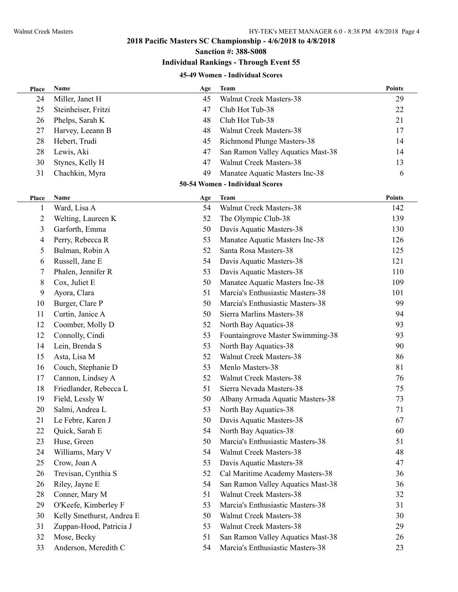**Sanction #: 388-S008**

#### **Individual Rankings - Through Event 55**

#### **45-49 Women - Individual Scores**

| Place          | Name                      | Age | <b>Team</b>                       | <b>Points</b> |
|----------------|---------------------------|-----|-----------------------------------|---------------|
| 24             | Miller, Janet H           | 45  | Walnut Creek Masters-38           | 29            |
| 25             | Steinheiser, Fritzi       | 47  | Club Hot Tub-38                   | 22            |
| 26             | Phelps, Sarah K           | 48  | Club Hot Tub-38                   | 21            |
| 27             | Harvey, Leeann B          | 48  | <b>Walnut Creek Masters-38</b>    | 17            |
| 28             | Hebert, Trudi             | 45  | Richmond Plunge Masters-38        | 14            |
| 28             | Lewis, Aki                | 47  | San Ramon Valley Aquatics Mast-38 | 14            |
| 30             | Stynes, Kelly H           | 47  | Walnut Creek Masters-38           | 13            |
| 31             | Chachkin, Myra            | 49  | Manatee Aquatic Masters Inc-38    | 6             |
|                |                           |     | 50-54 Women - Individual Scores   |               |
| <b>Place</b>   | Name                      | Age | Team                              | <b>Points</b> |
| 1              | Ward, Lisa A              | 54  | <b>Walnut Creek Masters-38</b>    | 142           |
| $\overline{2}$ | Welting, Laureen K        | 52  | The Olympic Club-38               | 139           |
| 3              | Garforth, Emma            | 50  | Davis Aquatic Masters-38          | 130           |
| 4              | Perry, Rebecca R          | 53  | Manatee Aquatic Masters Inc-38    | 126           |
| 5              | Bulman, Robin A           | 52  | Santa Rosa Masters-38             | 125           |
| 6              | Russell, Jane E           | 54  | Davis Aquatic Masters-38          | 121           |
| 7              | Phalen, Jennifer R        | 53  | Davis Aquatic Masters-38          | 110           |
| 8              | Cox, Juliet E             | 50  | Manatee Aquatic Masters Inc-38    | 109           |
| 9              | Ayora, Clara              | 51  | Marcia's Enthusiastic Masters-38  | 101           |
| 10             | Burger, Clare P           | 50  | Marcia's Enthusiastic Masters-38  | 99            |
| 11             | Curtin, Janice A          | 50  | Sierra Marlins Masters-38         | 94            |
| 12             | Coomber, Molly D          | 52  | North Bay Aquatics-38             | 93            |
| 12             | Connolly, Cindi           | 53  | Fountaingrove Master Swimming-38  | 93            |
| 14             | Lein, Brenda S            | 53  | North Bay Aquatics-38             | 90            |
| 15             | Asta, Lisa M              | 52  | <b>Walnut Creek Masters-38</b>    | 86            |
| 16             | Couch, Stephanie D        | 53  | Menlo Masters-38                  | 81            |
| 17             | Cannon, Lindsey A         | 52  | Walnut Creek Masters-38           | 76            |
| 18             | Friedlander, Rebecca L    | 51  | Sierra Nevada Masters-38          | 75            |
| 19             | Field, Lessly W           | 50  | Albany Armada Aquatic Masters-38  | 73            |
| 20             | Salmi, Andrea L           | 53  | North Bay Aquatics-38             | 71            |
| 21             | Le Febre, Karen J         | 50  | Davis Aquatic Masters-38          | 67            |
| 22             | Quick, Sarah E            | 54  | North Bay Aquatics-38             | 60            |
| 23             | Huse, Green               | 50  | Marcia's Enthusiastic Masters-38  | 51            |
| 24             | Williams, Mary V          | 54  | Walnut Creek Masters-38           | 48            |
| 25             | Crow, Joan A              | 53  | Davis Aquatic Masters-38          | 47            |
| 26             | Trevisan, Cynthia S       | 52  | Cal Maritime Academy Masters-38   | 36            |
| 26             | Riley, Jayne E            | 54  | San Ramon Valley Aquatics Mast-38 | 36            |
| 28             | Conner, Mary M            | 51  | Walnut Creek Masters-38           | 32            |
| 29             | O'Keefe, Kimberley F      | 53  | Marcia's Enthusiastic Masters-38  | 31            |
| 30             | Kelly Smethurst, Andrea E | 50  | Walnut Creek Masters-38           | 30            |
| 31             | Zuppan-Hood, Patricia J   | 53  | <b>Walnut Creek Masters-38</b>    | 29            |
| 32             | Mose, Becky               | 51  | San Ramon Valley Aquatics Mast-38 | 26            |
| 33             | Anderson, Meredith C      | 54  | Marcia's Enthusiastic Masters-38  | 23            |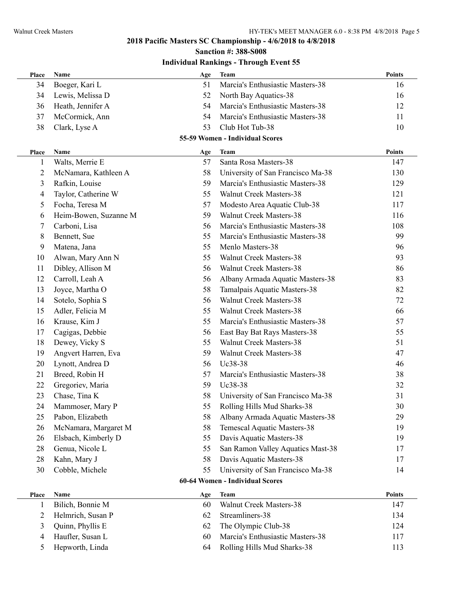**Sanction #: 388-S008**

| Name                | Age                                                                                                                                                                                                                                                                                                                                                                                                                                                                                                                                        | Team                              | <b>Points</b>                                                                                                                                                                                                                                                                                                                                                                                                        |
|---------------------|--------------------------------------------------------------------------------------------------------------------------------------------------------------------------------------------------------------------------------------------------------------------------------------------------------------------------------------------------------------------------------------------------------------------------------------------------------------------------------------------------------------------------------------------|-----------------------------------|----------------------------------------------------------------------------------------------------------------------------------------------------------------------------------------------------------------------------------------------------------------------------------------------------------------------------------------------------------------------------------------------------------------------|
| Boeger, Kari L      | 51                                                                                                                                                                                                                                                                                                                                                                                                                                                                                                                                         | Marcia's Enthusiastic Masters-38  | 16                                                                                                                                                                                                                                                                                                                                                                                                                   |
| Lewis, Melissa D    | 52                                                                                                                                                                                                                                                                                                                                                                                                                                                                                                                                         | North Bay Aquatics-38             | 16                                                                                                                                                                                                                                                                                                                                                                                                                   |
| Heath, Jennifer A   | 54                                                                                                                                                                                                                                                                                                                                                                                                                                                                                                                                         | Marcia's Enthusiastic Masters-38  | 12                                                                                                                                                                                                                                                                                                                                                                                                                   |
| McCormick, Ann      | 54                                                                                                                                                                                                                                                                                                                                                                                                                                                                                                                                         | Marcia's Enthusiastic Masters-38  | 11                                                                                                                                                                                                                                                                                                                                                                                                                   |
| Clark, Lyse A       | 53                                                                                                                                                                                                                                                                                                                                                                                                                                                                                                                                         | Club Hot Tub-38                   | 10                                                                                                                                                                                                                                                                                                                                                                                                                   |
|                     |                                                                                                                                                                                                                                                                                                                                                                                                                                                                                                                                            |                                   |                                                                                                                                                                                                                                                                                                                                                                                                                      |
| <b>Name</b>         |                                                                                                                                                                                                                                                                                                                                                                                                                                                                                                                                            | <b>Team</b>                       | <b>Points</b>                                                                                                                                                                                                                                                                                                                                                                                                        |
|                     | 57                                                                                                                                                                                                                                                                                                                                                                                                                                                                                                                                         | Santa Rosa Masters-38             | 147                                                                                                                                                                                                                                                                                                                                                                                                                  |
|                     | 58                                                                                                                                                                                                                                                                                                                                                                                                                                                                                                                                         |                                   | 130                                                                                                                                                                                                                                                                                                                                                                                                                  |
|                     | 59                                                                                                                                                                                                                                                                                                                                                                                                                                                                                                                                         | Marcia's Enthusiastic Masters-38  | 129                                                                                                                                                                                                                                                                                                                                                                                                                  |
|                     | 55                                                                                                                                                                                                                                                                                                                                                                                                                                                                                                                                         | <b>Walnut Creek Masters-38</b>    | 121                                                                                                                                                                                                                                                                                                                                                                                                                  |
|                     |                                                                                                                                                                                                                                                                                                                                                                                                                                                                                                                                            |                                   | 117                                                                                                                                                                                                                                                                                                                                                                                                                  |
|                     | 59                                                                                                                                                                                                                                                                                                                                                                                                                                                                                                                                         | <b>Walnut Creek Masters-38</b>    | 116                                                                                                                                                                                                                                                                                                                                                                                                                  |
|                     | 56                                                                                                                                                                                                                                                                                                                                                                                                                                                                                                                                         | Marcia's Enthusiastic Masters-38  | 108                                                                                                                                                                                                                                                                                                                                                                                                                  |
|                     | 55                                                                                                                                                                                                                                                                                                                                                                                                                                                                                                                                         | Marcia's Enthusiastic Masters-38  | 99                                                                                                                                                                                                                                                                                                                                                                                                                   |
|                     | 55                                                                                                                                                                                                                                                                                                                                                                                                                                                                                                                                         | Menlo Masters-38                  | 96                                                                                                                                                                                                                                                                                                                                                                                                                   |
|                     | 55                                                                                                                                                                                                                                                                                                                                                                                                                                                                                                                                         | <b>Walnut Creek Masters-38</b>    | 93                                                                                                                                                                                                                                                                                                                                                                                                                   |
|                     | 56                                                                                                                                                                                                                                                                                                                                                                                                                                                                                                                                         |                                   | 86                                                                                                                                                                                                                                                                                                                                                                                                                   |
|                     | 56                                                                                                                                                                                                                                                                                                                                                                                                                                                                                                                                         |                                   | 83                                                                                                                                                                                                                                                                                                                                                                                                                   |
|                     | 58                                                                                                                                                                                                                                                                                                                                                                                                                                                                                                                                         |                                   | 82                                                                                                                                                                                                                                                                                                                                                                                                                   |
|                     | 56                                                                                                                                                                                                                                                                                                                                                                                                                                                                                                                                         | <b>Walnut Creek Masters-38</b>    | 72                                                                                                                                                                                                                                                                                                                                                                                                                   |
|                     | 55                                                                                                                                                                                                                                                                                                                                                                                                                                                                                                                                         | Walnut Creek Masters-38           | 66                                                                                                                                                                                                                                                                                                                                                                                                                   |
|                     | 55                                                                                                                                                                                                                                                                                                                                                                                                                                                                                                                                         | Marcia's Enthusiastic Masters-38  | 57                                                                                                                                                                                                                                                                                                                                                                                                                   |
|                     | 56                                                                                                                                                                                                                                                                                                                                                                                                                                                                                                                                         |                                   | 55                                                                                                                                                                                                                                                                                                                                                                                                                   |
|                     | 55                                                                                                                                                                                                                                                                                                                                                                                                                                                                                                                                         | <b>Walnut Creek Masters-38</b>    | 51                                                                                                                                                                                                                                                                                                                                                                                                                   |
|                     | 59                                                                                                                                                                                                                                                                                                                                                                                                                                                                                                                                         | Walnut Creek Masters-38           | 47                                                                                                                                                                                                                                                                                                                                                                                                                   |
|                     | 56                                                                                                                                                                                                                                                                                                                                                                                                                                                                                                                                         | Uc38-38                           | 46                                                                                                                                                                                                                                                                                                                                                                                                                   |
| Breed, Robin H      | 57                                                                                                                                                                                                                                                                                                                                                                                                                                                                                                                                         | Marcia's Enthusiastic Masters-38  | 38                                                                                                                                                                                                                                                                                                                                                                                                                   |
| Gregoriev, Maria    | 59                                                                                                                                                                                                                                                                                                                                                                                                                                                                                                                                         | Uc38-38                           | 32                                                                                                                                                                                                                                                                                                                                                                                                                   |
| Chase, Tina K       | 58                                                                                                                                                                                                                                                                                                                                                                                                                                                                                                                                         | University of San Francisco Ma-38 | 31                                                                                                                                                                                                                                                                                                                                                                                                                   |
| Mammoser, Mary P    | 55                                                                                                                                                                                                                                                                                                                                                                                                                                                                                                                                         | Rolling Hills Mud Sharks-38       | 30                                                                                                                                                                                                                                                                                                                                                                                                                   |
| Pabon, Elizabeth    | 58                                                                                                                                                                                                                                                                                                                                                                                                                                                                                                                                         |                                   | 29                                                                                                                                                                                                                                                                                                                                                                                                                   |
|                     | 58                                                                                                                                                                                                                                                                                                                                                                                                                                                                                                                                         | Temescal Aquatic Masters-38       | 19                                                                                                                                                                                                                                                                                                                                                                                                                   |
| Elsbach, Kimberly D | 55                                                                                                                                                                                                                                                                                                                                                                                                                                                                                                                                         | Davis Aquatic Masters-38          | 19                                                                                                                                                                                                                                                                                                                                                                                                                   |
| Genua, Nicole L     | 55                                                                                                                                                                                                                                                                                                                                                                                                                                                                                                                                         |                                   | 17                                                                                                                                                                                                                                                                                                                                                                                                                   |
| Kahn, Mary J        | 58                                                                                                                                                                                                                                                                                                                                                                                                                                                                                                                                         | Davis Aquatic Masters-38          | 17                                                                                                                                                                                                                                                                                                                                                                                                                   |
| Cobble, Michele     | 55                                                                                                                                                                                                                                                                                                                                                                                                                                                                                                                                         | University of San Francisco Ma-38 | 14                                                                                                                                                                                                                                                                                                                                                                                                                   |
|                     |                                                                                                                                                                                                                                                                                                                                                                                                                                                                                                                                            |                                   |                                                                                                                                                                                                                                                                                                                                                                                                                      |
|                     |                                                                                                                                                                                                                                                                                                                                                                                                                                                                                                                                            |                                   | <b>Points</b>                                                                                                                                                                                                                                                                                                                                                                                                        |
|                     | 60                                                                                                                                                                                                                                                                                                                                                                                                                                                                                                                                         | Walnut Creek Masters-38           | 147                                                                                                                                                                                                                                                                                                                                                                                                                  |
|                     | 62                                                                                                                                                                                                                                                                                                                                                                                                                                                                                                                                         | Streamliners-38                   | 134                                                                                                                                                                                                                                                                                                                                                                                                                  |
|                     | 62                                                                                                                                                                                                                                                                                                                                                                                                                                                                                                                                         |                                   | 124                                                                                                                                                                                                                                                                                                                                                                                                                  |
|                     | 60                                                                                                                                                                                                                                                                                                                                                                                                                                                                                                                                         | Marcia's Enthusiastic Masters-38  | 117                                                                                                                                                                                                                                                                                                                                                                                                                  |
|                     | 64                                                                                                                                                                                                                                                                                                                                                                                                                                                                                                                                         |                                   | 113                                                                                                                                                                                                                                                                                                                                                                                                                  |
|                     | Walts, Merrie E<br>McNamara, Kathleen A<br>Rafkin, Louise<br>Taylor, Catherine W<br>Focha, Teresa M<br>Heim-Bowen, Suzanne M<br>Carboni, Lisa<br>Bennett, Sue<br>Matena, Jana<br>Alwan, Mary Ann N<br>Dibley, Allison M<br>Carroll, Leah A<br>Joyce, Martha O<br>Sotelo, Sophia S<br>Adler, Felicia M<br>Krause, Kim J<br>Cagigas, Debbie<br>Dewey, Vicky S<br>Angvert Harren, Eva<br>Lynott, Andrea D<br>McNamara, Margaret M<br>Name<br>Bilich, Bonnie M<br>Helmrich, Susan P<br>Quinn, Phyllis E<br>Haufler, Susan L<br>Hepworth, Linda | Age<br>57<br>Age                  | 55-59 Women - Individual Scores<br>University of San Francisco Ma-38<br>Modesto Area Aquatic Club-38<br>Walnut Creek Masters-38<br>Albany Armada Aquatic Masters-38<br>Tamalpais Aquatic Masters-38<br>East Bay Bat Rays Masters-38<br>Albany Armada Aquatic Masters-38<br>San Ramon Valley Aquatics Mast-38<br>60-64 Women - Individual Scores<br><b>Team</b><br>The Olympic Club-38<br>Rolling Hills Mud Sharks-38 |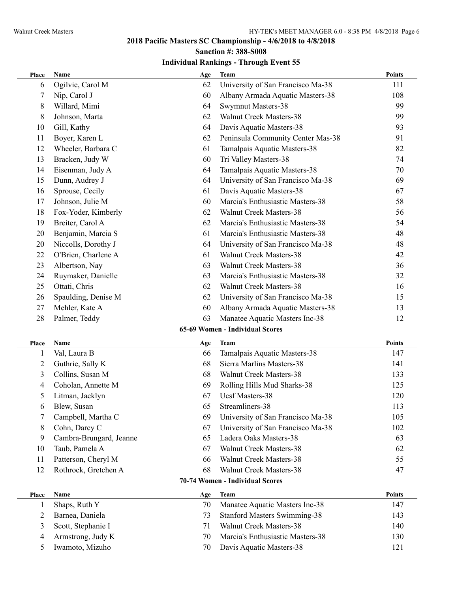### **2018 Pacific Masters SC Championship - 4/6/2018 to 4/8/2018 Sanction #: 388-S008**

| Place          | Name                    | Age | <b>Team</b>                         | <b>Points</b> |
|----------------|-------------------------|-----|-------------------------------------|---------------|
| 6              | Ogilvie, Carol M        | 62  | University of San Francisco Ma-38   | 111           |
| 7              | Nip, Carol J            | 60  | Albany Armada Aquatic Masters-38    | 108           |
| 8              | Willard, Mimi           | 64  | Swymnut Masters-38                  | 99            |
| 8              | Johnson, Marta          | 62  | <b>Walnut Creek Masters-38</b>      | 99            |
| 10             | Gill, Kathy             | 64  | Davis Aquatic Masters-38            | 93            |
| 11             | Boyer, Karen L          | 62  | Peninsula Community Center Mas-38   | 91            |
| 12             | Wheeler, Barbara C      | 61  | Tamalpais Aquatic Masters-38        | 82            |
| 13             | Bracken, Judy W         | 60  | Tri Valley Masters-38               | 74            |
| 14             | Eisenman, Judy A        | 64  | Tamalpais Aquatic Masters-38        | 70            |
| 15             | Dunn, Audrey J          | 64  | University of San Francisco Ma-38   | 69            |
| 16             | Sprouse, Cecily         | 61  | Davis Aquatic Masters-38            | 67            |
| 17             | Johnson, Julie M        | 60  | Marcia's Enthusiastic Masters-38    | 58            |
| 18             | Fox-Yoder, Kimberly     | 62  | <b>Walnut Creek Masters-38</b>      | 56            |
| 19             | Breiter, Carol A        | 62  | Marcia's Enthusiastic Masters-38    | 54            |
| 20             | Benjamin, Marcia S      | 61  | Marcia's Enthusiastic Masters-38    | 48            |
| 20             | Niccolls, Dorothy J     | 64  | University of San Francisco Ma-38   | 48            |
| 22             | O'Brien, Charlene A     | 61  | <b>Walnut Creek Masters-38</b>      | 42            |
| 23             | Albertson, Nay          | 63  | Walnut Creek Masters-38             | 36            |
| 24             | Ruymaker, Danielle      | 63  | Marcia's Enthusiastic Masters-38    | 32            |
| 25             | Ottati, Chris           | 62  | Walnut Creek Masters-38             | 16            |
| 26             | Spaulding, Denise M     | 62  | University of San Francisco Ma-38   | 15            |
| 27             | Mehler, Kate A          | 60  | Albany Armada Aquatic Masters-38    | 13            |
| 28             | Palmer, Teddy           | 63  | Manatee Aquatic Masters Inc-38      | 12            |
|                |                         |     | 65-69 Women - Individual Scores     |               |
| Place          | Name                    | Age | <b>Team</b>                         | <b>Points</b> |
| $\mathbf{1}$   | Val, Laura B            | 66  | Tamalpais Aquatic Masters-38        | 147           |
| $\overline{2}$ | Guthrie, Sally K        | 68  | Sierra Marlins Masters-38           | 141           |
| 3              | Collins, Susan M        | 68  | Walnut Creek Masters-38             | 133           |
| 4              | Coholan, Annette M      | 69  | Rolling Hills Mud Sharks-38         | 125           |
| 5              | Litman, Jacklyn         | 67  | Ucsf Masters-38                     | 120           |
| 6              | Blew, Susan             | 65  | Streamliners-38                     | 113           |
| 7              | Campbell, Martha C      | 69  | University of San Francisco Ma-38   | 105           |
| 8              | Cohn, Darcy C           | 67  | University of San Francisco Ma-38   | 102           |
| 9              | Cambra-Brungard, Jeanne | 65  | Ladera Oaks Masters-38              | 63            |
| 10             | Taub, Pamela A          | 67  | Walnut Creek Masters-38             | 62            |
| 11             | Patterson, Cheryl M     | 66  | <b>Walnut Creek Masters-38</b>      | 55            |
| 12             | Rothrock, Gretchen A    | 68  | Walnut Creek Masters-38             | 47            |
|                |                         |     | 70-74 Women - Individual Scores     |               |
| Place          | Name                    | Age | <b>Team</b>                         | <b>Points</b> |
| $\mathbf{1}$   | Shaps, Ruth Y           | 70  | Manatee Aquatic Masters Inc-38      | 147           |
| $\overline{2}$ | Barnea, Daniela         | 73  | <b>Stanford Masters Swimming-38</b> | 143           |
| 3              | Scott, Stephanie I      | 71  | Walnut Creek Masters-38             | 140           |
| 4              | Armstrong, Judy K       | 70  | Marcia's Enthusiastic Masters-38    | 130           |
| 5              | Iwamoto, Mizuho         | 70  | Davis Aquatic Masters-38            | 121           |